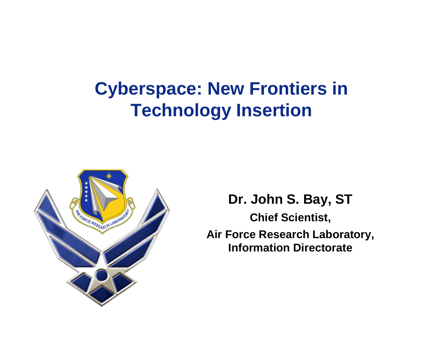# **Cyberspace: New Frontiers in Technology Insertion**



**Dr. John S. Bay, ST Chief Scientist, Air Force Research Laboratory, Information Directorate**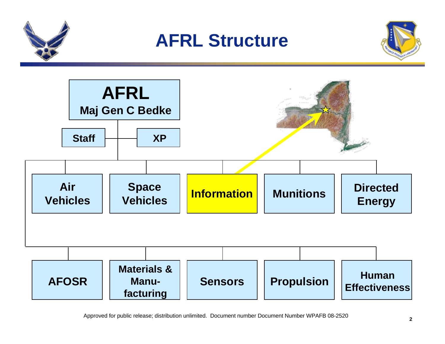

## **AFRL Structure**





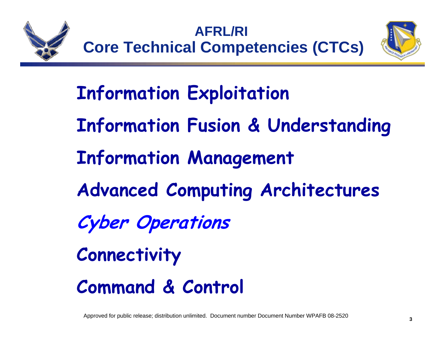

#### **AFRL/RI Core Technical Competencies (CTCs)**



**Information Exploitation Information Fusion & Understanding Information Management Advanced Computing Architectures Cyber Operations Connectivity**

**Command & Control**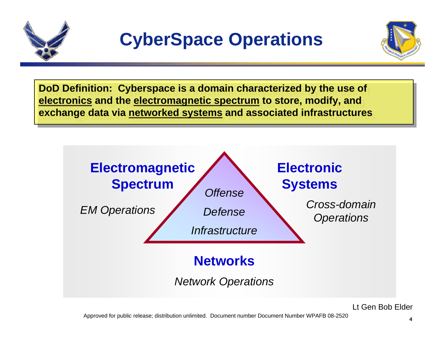



**DoD Definition: Cyberspace is a domain characterized by the use of DoD Definition: Cyberspace is a domain characterized by the use of electronics and the electromagnetic spectrum to store, modify, and electronics and the electromagnetic spectrum to store, modify, and exchange data via networked systems and associated infrastructures exchange data via networked systems and associated infrastructures**

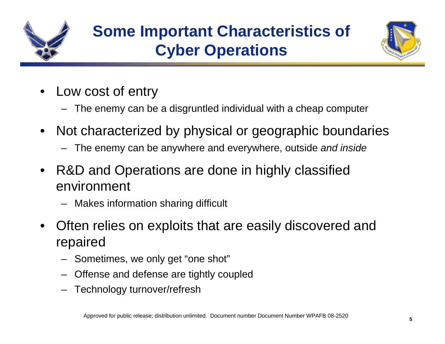



- Low cost of entry
	- The enemy can be a disgruntled individual with a cheap computer
- • Not characterized by physical or geographic boundaries
	- The enemy can be anywhere and everywhere, outside *and inside*
- • R&D and Operations are done in highly classified environment
	- Makes information sharing difficult
- • Often relies on exploits that are easily discovered and repaired
	- –Sometimes, we only get "one shot"
	- –Offense and defense are tightly coupled
	- –Technology turnover/refresh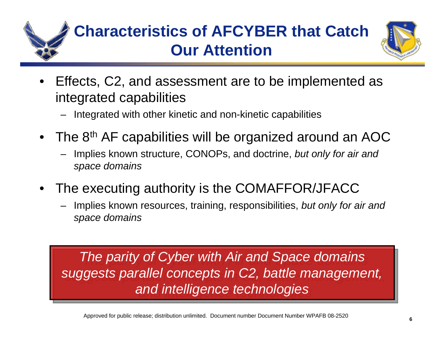

## **Characteristics of AFCYBER that Catch Our Attention**



- • Effects, C2, and assessment are to be implemented as integrated capabilities
	- –Integrated with other kinetic and non-kinetic capabilities
- The 8<sup>th</sup> AF capabilities will be organized around an AOC
	- Implies known structure, CONOPs, and doctrine, *but only for air and space domains*
- • The executing authority is the COMAFFOR/JFACC
	- – Implies known resources, training, responsibilities, *but only for air and space domains*

*The parity of Cyber with Air and Space domains The parity of Cyber with Air and Space domains suggests parallel concepts in C2, battle management, suggests parallel concepts in C2, battle management, and intelligence technologies and intelligence technologies*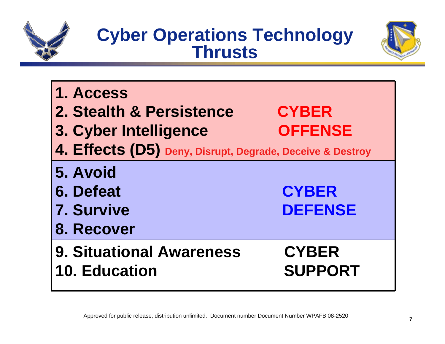

## **Cyber Operations Technology Thrusts**



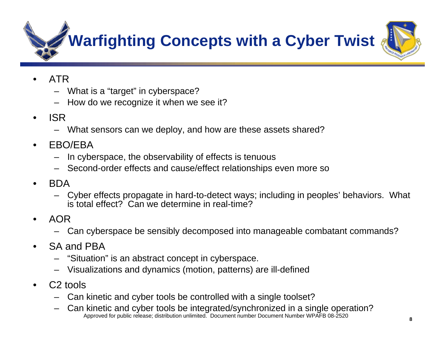**Warfighting Concepts with a Cyber Twist**



- • ATR
	- What is a "target" in cyberspace?
	- How do we recognize it when we see it?
- • ISR
	- What sensors can we deploy, and how are these assets shared?
- • EBO/EBA
	- In cyberspace, the observability of effects is tenuous
	- Second-order effects and cause/effect relationships even more so
- • BDA
	- Cyber effects propagate in hard-to-detect ways; including in peoples' behaviors. What is total effect? Can we determine in real-time?
- • AOR
	- Can cyberspace be sensibly decomposed into manageable combatant commands?
- • SA and PBA
	- "Situation" is an abstract concept in cyberspace.
	- Visualizations and dynamics (motion, patterns) are ill-defined
- • C2 tools
	- Can kinetic and cyber tools be controlled with a single toolset?
	- Approved for public release; distribution unlimited. Document number Document Number WPAFB 08-2520 Can kinetic and cyber tools be integrated/synchronized in a single operation?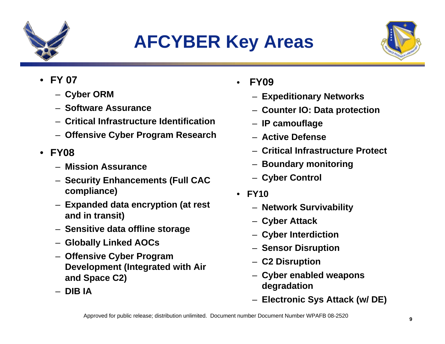

# **AFCYBER Key Areas**



- • **FY 07**
	- **Cyber ORM**
	- **Software Assurance**
	- **Critical Infrastructure Identification**
	- **Offensive Cyber Program Research**
- **FY08**
	- **Mission Assurance**
	- **Security Enhancements (Full CAC compliance)**
	- **Expanded data encryption (at rest and in transit)**
	- **Sensitive data offline storage**
	- **Globally Linked AOCs**
	- **Offensive Cyber Program Development (Integrated with Air and Space C2)**
	- **DIB IA**
- • **FY09**
	- **Expeditionary Networks**
	- **Counter IO: Data protection**
	- **IP camouflage**
	- **Active Defense**
	- **Critical Infrastructure Protect**
	- **Boundary monitoring**
	- **Cyber Control**
- **FY10**
	- **Network Survivability**
	- **Cyber Attack**
	- **Cyber Interdiction**
	- **Sensor Disruption**
	- **C2 Disruption**
	- **Cyber enabled weapons degradation**
	- **Electronic Sys Attack (w/ DE)**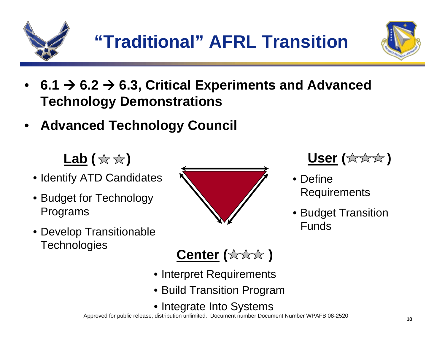



- **6.1**  Æ **6.2**  Æ **6.3, Critical Experiments and Advanced Technology Demonstrations**
- •**Advanced Technology Council**

【ab (☆☆)

- Identify ATD Candidates
- Budget for Technology Programs
- Develop Transitionable **Technologies**





- Define Requirements
- Budget Transition Funds

**Center ( )**

- Interpret Requirements
- Build Transition Program
- Integrate Into Systems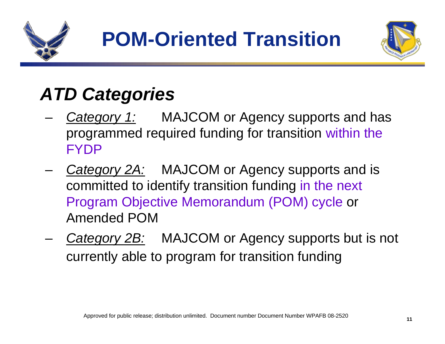



# *ATD Categories*

- *Category 1:* MAJCOM or Agency supports and has programmed required funding for transition within the FYDP
- – *Category 2A:* MAJCOM or Agency supports and is committed to identify transition funding in the next Program Objective Memorandum (POM) cycle or Amended POM
- *Category 2B:* MAJCOM or Agency supports but is not currently able to program for transition funding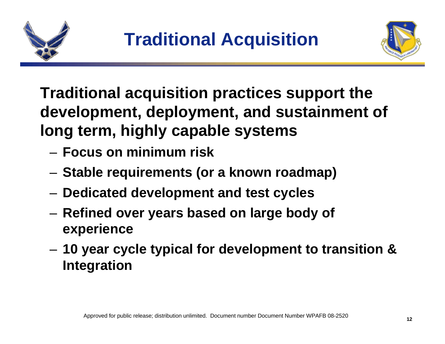



**Traditional acquisition practices support the development, deployment, and sustainment of long term, highly capable systems**

- **Focus on minimum risk**
- –**Stable requirements (or a known roadmap)**
- –**Dedicated development and test cycles**
- – **Refined over years based on large body of experience**
- and the state of the **10 year cycle typical for development to transition & Integration**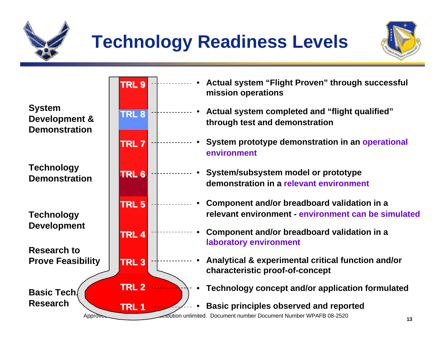

# **Technology Readiness Levels**



**System Development & Demonstration**

**Technology Demonstration**

**Technology Development**

**Research to Prove Feasibility**

**Basic Tech.Research**



- • **Actual system "Flight Proven" through successful mission operations**
	- **Actual system completed and "flight qualified" through test and demonstration**
- **System prototype demonstration in an operational environment**
- **System/subsystem model or prototype demonstration in a relevant environment**
- **Component and/or breadboard validation in a relevant environment - environment can be simulated**
	- **Component and/or breadboard validation in a laboratory environment**
		- **Analytical & experimental critical function and/or characteristic proof-of-concept**
			- **Technology concept and/or application formulated**
		- **Basic principles observed and reported**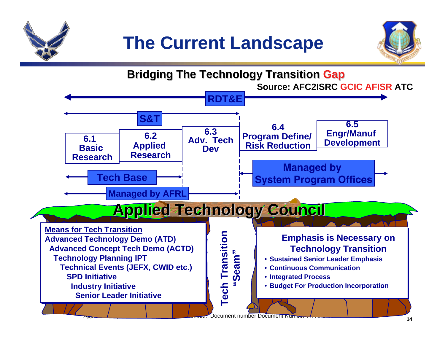



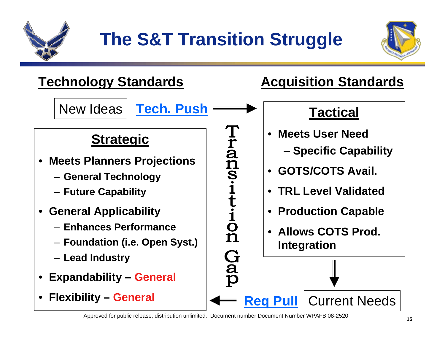



#### **Technology Standards Manual Acquisition Standards**

New Ideas



#### **Strategic**

- $\bullet$  **Meets Planners Projections**
	- **General Technology**
	- **Future Capability**
- • **General Applicability**
	- **Enhances Performance**
	- **Foundation (i.e. Open Syst.)**
	- **Lead Industry**
- •**Expandability – General**
- •**Flexibility – General**

**Tran** S.it  $\ddot{i}$ <br> $\ddot{o}$  $\mathbf n$ **Gap** 

**Req Pull**

#### **Tactical**

- **Meets User Need**
	- **Specific Capability**
- **GOTS/COTS Avail.**
- **TRL Level Validated**
- **Production Capable**
- **Allows COTS Prod. Integration**

Current Needs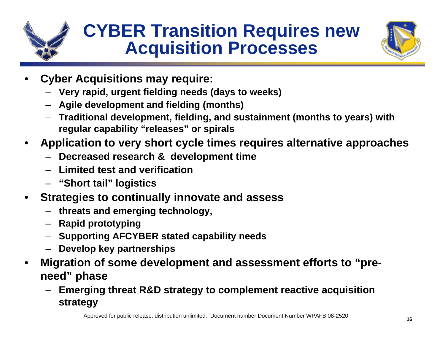

## **CYBER Transition Requires new Acquisition Processes**



- • **Cyber Acquisitions may require:**
	- **Very rapid, urgent fielding needs (days to weeks)**
	- **Agile development and fielding (months)**
	- **Traditional development, fielding, and sustainment (months to years) with regular capability "releases" or spirals**
- • **Application to very short cycle times requires alternative approaches**
	- **Decreased research & development time**
	- **Limited test and verification**
	- **"Short tail" logistics**
- • **Strategies to continually innovate and assess**
	- **threats and emerging technology,**
	- **Rapid prototyping**
	- **Supporting AFCYBER stated capability needs**
	- **Develop key partnerships**
- • **Migration of some development and assessment efforts to "preneed" phase**
	- **Emerging threat R&D strategy to complement reactive acquisition strategy**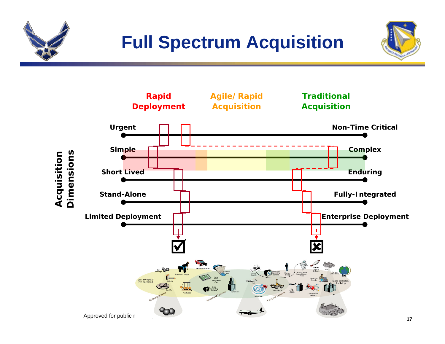



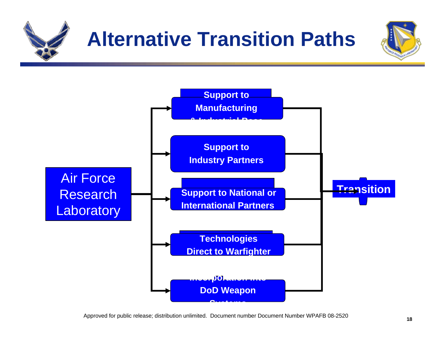

# **Alternative Transition Paths**



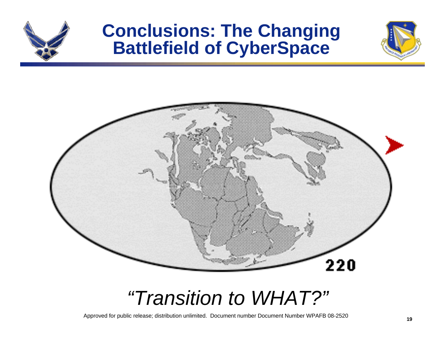

### **Conclusions: The Changing Battlefield of CyberSpace**





# *"Transition to WHAT?"*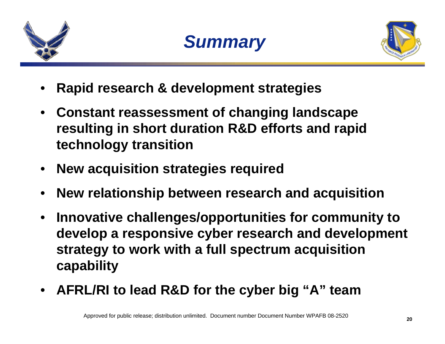





- •**Rapid research & development strategies**
- • **Constant reassessment of changing landscape resulting in short duration R&D efforts and rapid technology transition**
- •**New acquisition strategies required**
- •**New relationship between research and acquisition**
- • **Innovative challenges/opportunities for community to develop a responsive cyber research and development strategy to work with a full spectrum acquisition capability**
- •**AFRL/RI to lead R&D for the cyber big "A" team**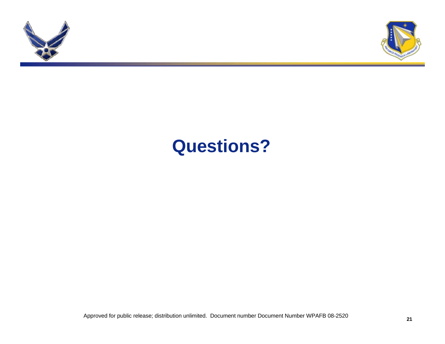



# **Questions?**